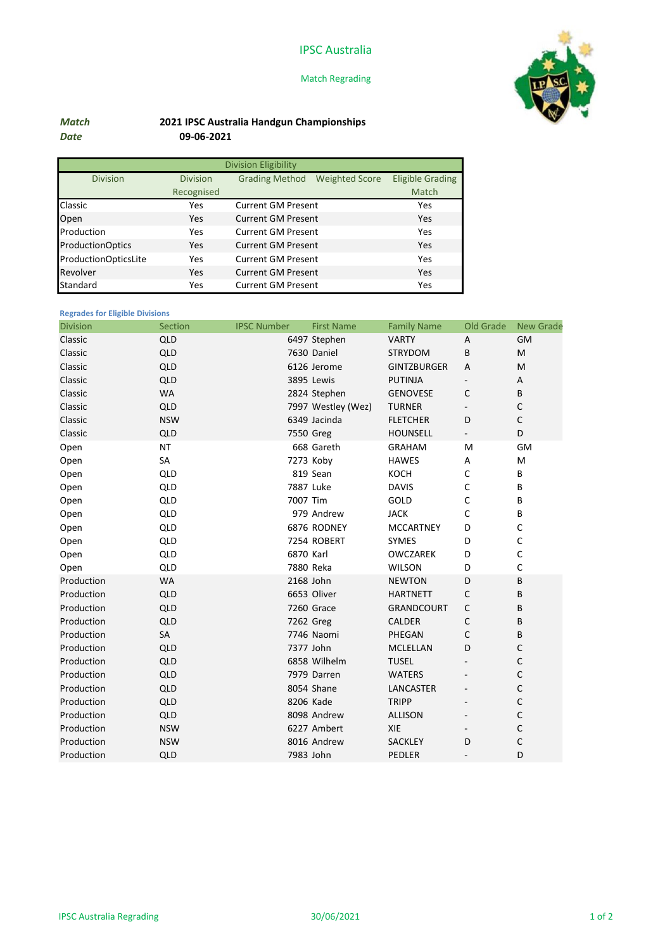# IPSC Australia

### Match Regrading



# Match 2021 IPSC Australia Handgun Championships Date 09-06-2021

| <b>Division Eligibility</b> |                 |                           |                       |                         |  |  |  |  |
|-----------------------------|-----------------|---------------------------|-----------------------|-------------------------|--|--|--|--|
| <b>Division</b>             | <b>Division</b> | <b>Grading Method</b>     | <b>Weighted Score</b> | <b>Eligible Grading</b> |  |  |  |  |
|                             | Recognised      |                           |                       | Match                   |  |  |  |  |
| Classic                     | Yes             | <b>Current GM Present</b> |                       | Yes                     |  |  |  |  |
| Open                        | Yes             | <b>Current GM Present</b> |                       | Yes                     |  |  |  |  |
| Production                  | Yes             | <b>Current GM Present</b> |                       | Yes                     |  |  |  |  |
| <b>ProductionOptics</b>     | Yes             | <b>Current GM Present</b> |                       | Yes                     |  |  |  |  |
| ProductionOpticsLite        | Yes             | <b>Current GM Present</b> |                       | Yes                     |  |  |  |  |
| Revolver                    | Yes             | <b>Current GM Present</b> |                       | Yes                     |  |  |  |  |
| <b>Standard</b>             | Yes             | <b>Current GM Present</b> |                       | Yes                     |  |  |  |  |

## Regrades for Eligible Divisions

| <b>Division</b> | Section    | <b>IPSC Number</b> | <b>First Name</b>  | <b>Family Name</b> | Old Grade                | <b>New Grade</b> |
|-----------------|------------|--------------------|--------------------|--------------------|--------------------------|------------------|
| Classic         | <b>QLD</b> |                    | 6497 Stephen       | <b>VARTY</b>       | A                        | <b>GM</b>        |
| Classic         | <b>QLD</b> |                    | 7630 Daniel        | <b>STRYDOM</b>     | B                        | M                |
| Classic         | QLD        |                    | 6126 Jerome        | <b>GINTZBURGER</b> | A                        | M                |
| Classic         | <b>QLD</b> |                    | 3895 Lewis         | PUTINJA            |                          | Α                |
| Classic         | <b>WA</b>  |                    | 2824 Stephen       | <b>GENOVESE</b>    | C                        | B                |
| Classic         | <b>QLD</b> |                    | 7997 Westley (Wez) | <b>TURNER</b>      |                          | C                |
| Classic         | <b>NSW</b> |                    | 6349 Jacinda       | <b>FLETCHER</b>    | D                        | C                |
| Classic         | <b>QLD</b> |                    | 7550 Greg          | <b>HOUNSELL</b>    |                          | D                |
| Open            | <b>NT</b>  |                    | 668 Gareth         | <b>GRAHAM</b>      | M                        | <b>GM</b>        |
| Open            | <b>SA</b>  |                    | 7273 Koby          | <b>HAWES</b>       | Α                        | M                |
| Open            | QLD        |                    | 819 Sean           | KOCH               | С                        | В                |
| Open            | QLD        |                    | 7887 Luke          | <b>DAVIS</b>       | C                        | В                |
| Open            | QLD        |                    | 7007 Tim           | GOLD               | C                        | B                |
| Open            | <b>QLD</b> |                    | 979 Andrew         | <b>JACK</b>        | C                        | В                |
| Open            | <b>QLD</b> |                    | 6876 RODNEY        | <b>MCCARTNEY</b>   | D                        | C                |
| Open            | <b>QLD</b> |                    | 7254 ROBERT        | <b>SYMES</b>       | D                        | C                |
| Open            | <b>QLD</b> |                    | 6870 Karl          | OWCZAREK           | D                        | C                |
| Open            | <b>QLD</b> |                    | 7880 Reka          | <b>WILSON</b>      | D                        | C                |
| Production      | <b>WA</b>  |                    | 2168 John          | <b>NEWTON</b>      | D                        | B                |
| Production      | <b>QLD</b> |                    | 6653 Oliver        | <b>HARTNETT</b>    | C                        | B                |
| Production      | <b>QLD</b> |                    | 7260 Grace         | <b>GRANDCOURT</b>  | С                        | В                |
| Production      | <b>QLD</b> |                    | 7262 Greg          | <b>CALDER</b>      | C                        | B                |
| Production      | <b>SA</b>  |                    | 7746 Naomi         | PHEGAN             | C                        | B                |
| Production      | QLD        |                    | 7377 John          | <b>MCLELLAN</b>    | D                        | C                |
| Production      | <b>QLD</b> |                    | 6858 Wilhelm       | <b>TUSEL</b>       |                          | C                |
| Production      | <b>QLD</b> |                    | 7979 Darren        | <b>WATERS</b>      |                          | C                |
| Production      | <b>QLD</b> |                    | 8054 Shane         | LANCASTER          |                          | C                |
| Production      | <b>QLD</b> |                    | 8206 Kade          | <b>TRIPP</b>       |                          | C                |
| Production      | <b>QLD</b> |                    | 8098 Andrew        | <b>ALLISON</b>     |                          | C                |
| Production      | <b>NSW</b> |                    | 6227 Ambert        | XIE                |                          | C                |
| Production      | <b>NSW</b> |                    | 8016 Andrew        | <b>SACKLEY</b>     | D                        | C                |
| Production      | QLD        |                    | 7983 John          | <b>PEDLER</b>      | $\overline{\phantom{a}}$ | D                |